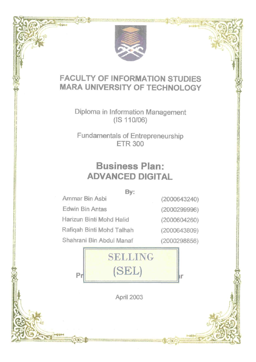

"FI - HALL

## **FACULTY OF INFORMATION STUDIES MARA UNIVERSITY OF TECHNOLOGY**

Diploma in Information Management (IS 110/06)

Fundamentals of Entrepreneurship ETR 300

# **Business Plan: ADVANCED DIGITAL**

**By:** 

**Ammar Bin Asbi Edwin Bin Antas Harizun Binti Mohd Halid Rafiqah Binti Mohd Talhah Shahrani Bin Abdul Manaf** 

(2000643240) (2000299996)

(2000604260)

(2000643809)

(2000298856)



April 2003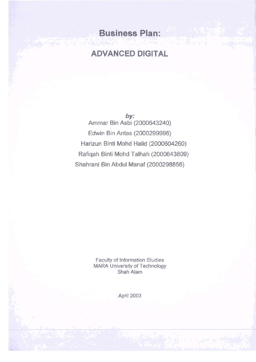## **Business Plan:**

## **ADVANCED DIGITAL**

**by: Ammar Bin Asbi (2000643240) Edwin Bin Antas (2000299996) Harizun Binti Mohd Halid (2000604260) Rafiqah Binti Mohd Talhah (2000643809) Shahrani Bin Abdul Manaf (2000298856)** 

> **Faculty of Information Studies MARA University of Technology Shah Alam**

> > **April 2003**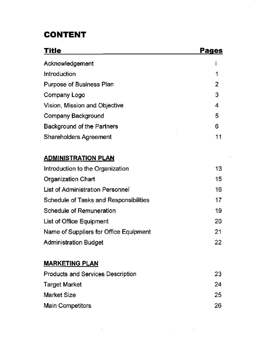## **CONTENT**

| <b>Title</b>                             | Pages |
|------------------------------------------|-------|
| Acknowledgement                          |       |
| Introduction                             | 1     |
| <b>Purpose of Business Plan</b>          | 2     |
| Company Logo                             | 3     |
| Vision, Mission and Objective            | 4     |
| <b>Company Background</b>                | 5     |
| Background of the Partners               | 6     |
| <b>Shareholders Agreement</b>            | 11    |
| <b>ADMINISTRATION PLAN</b>               |       |
| Introduction to the Organization         | 13    |
| <b>Organization Chart</b>                | 15    |
| List of Administration Personnel         | 16    |
| Schedule of Tasks and Responsibilities   | 17    |
| <b>Schedule of Remuneration</b>          | 19    |
| List of Office Equipment                 | 20    |
| Name of Suppliers for Office Equipment   | 21    |
| <b>Administration Budget</b>             | 22    |
| <b>MARKETING PLAN</b>                    |       |
| <b>Products and Services Description</b> | 23    |
| <b>Target Market</b>                     | 24    |
| <b>Market Size</b>                       | 25    |
| <b>Main Competitors</b>                  | 26    |

 $\label{eq:2.1} \mathcal{L}(\mathcal{L}^{\mathcal{L}}_{\mathcal{L}}(\mathcal{L}^{\mathcal{L}}_{\mathcal{L}})) = \mathcal{L}(\mathcal{L}^{\mathcal{L}}_{\mathcal{L}}(\mathcal{L}^{\mathcal{L}}_{\mathcal{L}})) = \mathcal{L}(\mathcal{L}^{\mathcal{L}}_{\mathcal{L}}(\mathcal{L}^{\mathcal{L}}_{\mathcal{L}}))$ 

 $\label{eq:2.1} \mathcal{L}(\mathcal{L}^{\text{max}}_{\mathcal{L}}(\mathcal{L}^{\text{max}}_{\mathcal{L}})) \leq \mathcal{L}(\mathcal{L}^{\text{max}}_{\mathcal{L}}(\mathcal{L}^{\text{max}}_{\mathcal{L}}))$ 

l,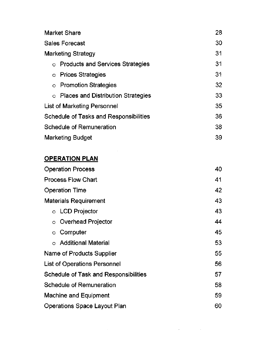| <b>Market Share</b>                                | 28 |
|----------------------------------------------------|----|
| <b>Sales Forecast</b>                              | 30 |
| <b>Marketing Strategy</b>                          | 31 |
| <b>Products and Services Strategies</b><br>$\circ$ | 31 |
| <b>Prices Strategies</b><br>$\circ$                | 31 |
| $\circ$ Promotion Strategies                       | 32 |
| ○ Places and Distribution Strategies               | 33 |
| List of Marketing Personnel                        | 35 |
| Schedule of Tasks and Responsibilities             | 36 |
| Schedule of Remuneration                           | 38 |
| Marketing Budget                                   | 39 |

 $\sim 10^{-10}$ 

### **OPERATION PLAN**

| <b>Operation Process</b>              | 40 |
|---------------------------------------|----|
| <b>Process Flow Chart</b>             | 41 |
| <b>Operation Time</b>                 | 42 |
| <b>Materials Requirement</b>          | 43 |
| $\circ$ LCD Projector                 | 43 |
| <b>Overhead Projector</b><br>$\circ$  | 44 |
| Computer<br>$\circ$                   | 45 |
| $\circ$ Additional Material           | 53 |
| Name of Products Supplier             | 55 |
| List of Operations Personnel          | 56 |
| Schedule of Task and Responsibilities | 57 |
| Schedule of Remuneration              | 58 |
| <b>Machine and Equipment</b>          | 59 |
| Operations Space Layout Plan          | 60 |

 $\mathcal{L}$ 

 $\sim 10^{-11}$